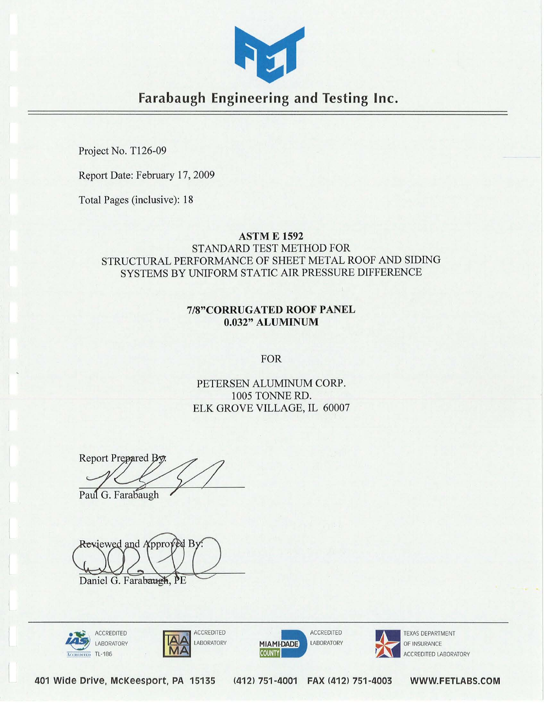

Farabaugh Engineering and Testing Inc.

Project No. T126-09

Report Date: February 17, 2009

Total Pages (inclusive): 18

#### **ASTM E 1592**

STANDARD TEST METHOD FOR STRUCTURAL PERFORMANCE OF SHEET METAL ROOF AND SIDING SYSTEMS BY UNIFORM STATIC AIR PRESSURE DIFFERENCE

### 7/8"CORRUGATED ROOF PANEL 0.032" ALUMINUM

FOR

PETERSEN ALUMINUM CORP. 1005 TONNE RD. [ELK GROVE VILLAGE, IL 60007](http://www.pac-clad.com) 

Report Prepared By. Paul G. Farabaugh

Reviewed and Approved By

Daniel G. Farabaugh, PE









OF INSURANCE CREDITED LABORATORY

401 Wide Drive, McKeesport, PA 15135 (412) 751-4001 FAX (412) 751-4003 WWW.FETlABS.COM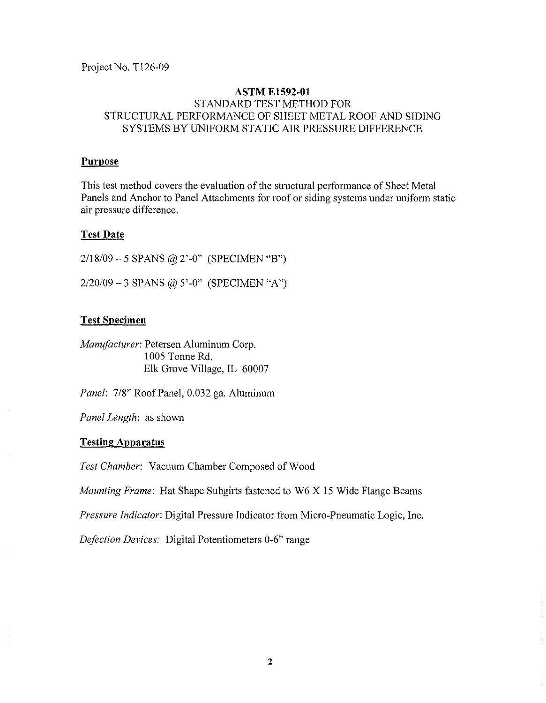Project No. T126-09

### **ASTM ElS92-01**  STANDARD TEST METHOD FOR STRUCTURAL PERFORMANCE OF SHEET METAL ROOF AND SIDING SYSTEMS BY UNIFORM STATIC AIR PRESSURE DIFFERENCE

#### **Purpose**

This test method covers the evaluation of the structural performance of Sheet Metal Panels and Anchor to Panel Attachments for roof or siding systems under uniform static air pressure difference.

#### Test **Date**

*2/18/09* - 5 SPANS @ 2'-0" (SPECIMEN "B") *2/20109* - 3 SPANS @ 5' -0" (SPECIMEN *"A")* 

## Test **Specimen**

*Manufacturer:* Petersen Aluminum Corp. 1005 Tonne Rd. Elk Grove Village, IL 60007

*Panel: 7/8"* Roof Panel, 0.032 ga. Aluminum

*Panel Length:* as shown

#### **Testing Apparatus**

*Test Chamber:* Vacuum Chamber Composed of Wood

*Mounting Frame:* Hat Shape Subgirts fastened to W6 X 15 Wide Flange Beams

*Pressure Indicator:* Digital Pressure Indicator from Micro-Pneumatic Logic, Inc.

*Defection Devices:* Digital Potentiometers 0-6" range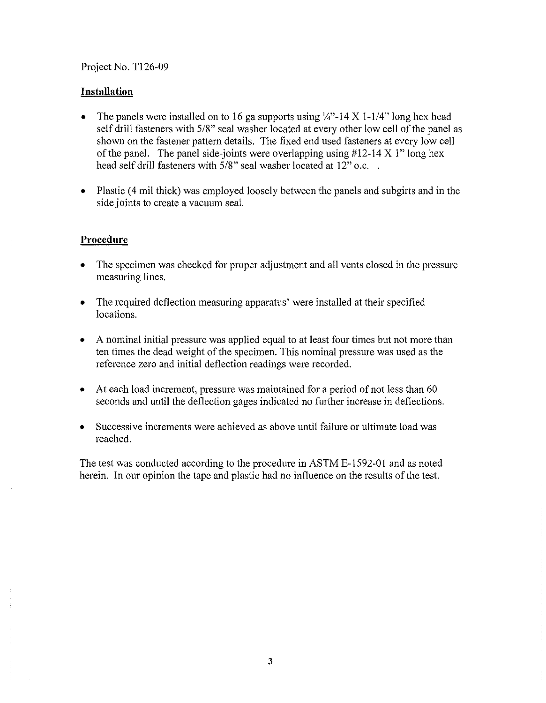#### Project No. T126-09

### **Installation**

- The panels were installed on to 16 ga supports using  $\frac{1}{4}$ . 14 X 1-1/4" long hex head self drill fasteners with 5/8" seal washer located at every other low cell of the panel as shown on the fastener pattern details. The fixed end used fasteners at every low cell of the panel. The panel side-joints were overlapping using  $#12-14 \times 1"$  long hex head self drill fasteners with 5/8" seal washer located at 12" o.c...
- Plastic (4 mil thick) was employed loosely between the panels and subgirts and in the side joints to create a vacuum seal.

## **Procedure**

- The specimen was checked for proper adjustment and all vents closed in the pressure measuring lines.
- The required deflection measuring apparatus' were installed at their specified locations.
- A nominal initial pressure was applied equal to at least four times but not more than ten times the dead weight of the specimen. This nominal pressure was used as the reference zero and initial deflection readings were recorded.
- At each load increment, pressure was maintained for a period of not less than 60 seconds and until the deflection gages indicated no further increase in deflections.
- Successive increments were achieved as above until failure or ultimate load was reached.

The test was conducted according to the procedure in ASTM E-1592-01 and as noted herein. In our opinion the tape and plastic had no influence on the results of the test.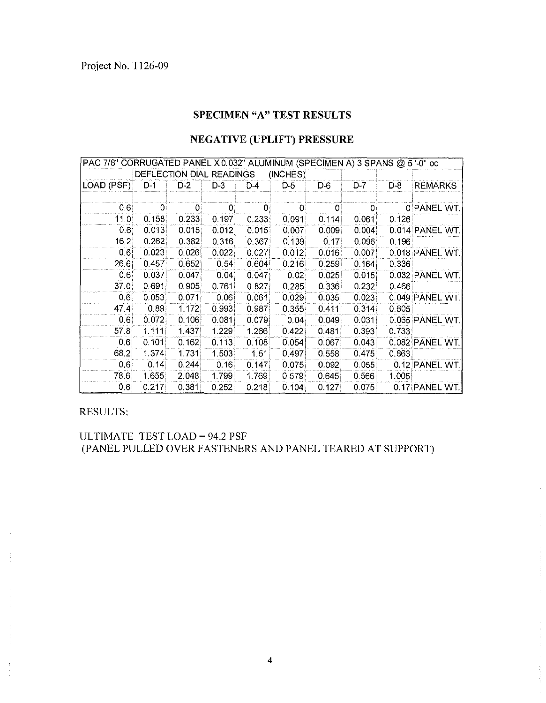## SPECIMEN "A" TEST RESULTS

# **NEGATIVE (UPLIFT) PRESSURE**

| PAC 7/8" CORRUGATED PANEL X 0.032" ALUMINUM (SPECIMEN A) 3 SPANS @ 5 '-0" oc |              |             |              |       |       |              |       |       |                 |
|------------------------------------------------------------------------------|--------------|-------------|--------------|-------|-------|--------------|-------|-------|-----------------|
| DEFLECTION DIAL READINGS<br>(INCHES)                                         |              |             |              |       |       |              |       |       |                 |
| LOAD (PSF)                                                                   | D-1          | $D-2$       | $D-3$        | D-4   | $D-5$ | D-6          | D-7   | D-8   | <b>REMARKS</b>  |
|                                                                              |              |             |              |       |       |              |       |       |                 |
| 0,6                                                                          | $\mathbf{0}$ | $ 0\rangle$ | $\mathbf{0}$ | 0.    | 01    | $\mathbf{0}$ | 01    |       | 0 PANEL WT.     |
| 11.0                                                                         | 0.158        | 0.233       | 0.197        | 0.233 | 0.091 | 0.114        | 0.061 | 0.126 |                 |
| 0.6                                                                          | 0.013        | 0.015       | 0.012        | 0.015 | 0.007 | 0.009        | 0.004 |       | 0.014 PANEL WT. |
| 16.2                                                                         | 0.262        | 0.382       | 0.316        | 0.367 | 0.139 | 0.17         | 0.096 | 0.196 |                 |
| 0.6                                                                          | 0.023        | 0.026       | 0.022        | 0.027 | 0.012 | 0.016        | 0.007 |       | 0.018 PANEL WT. |
| 26.6                                                                         | 0.457        | 0.652       | 0.54         | 0 604 | 0.216 | 0.259        | 0.164 | 0.336 |                 |
| 0.6                                                                          | 0.037        | 0.047       | 0.04         | 0.047 | 0.02  | 0.025        | 0.015 |       | 0.032 PANEL WT. |
| 37.0                                                                         | 0.691        | 0.905       | 0.761        | 0.827 | 0.285 | 0.336        | 0.232 | 0.466 |                 |
| 0.6                                                                          | 0.053        | 0.071       | 0.06         | 0.061 | 0.029 | 0.035        | 0.023 |       | 0.049 PANEL WT. |
| 47.4                                                                         | 0.89         | 1.172       | 0.993        | 0.987 | 0.355 | 0.411        | 0.314 | 0.605 |                 |
| 0.6                                                                          | 0.072        | 0.106       | 0.081        | 0.079 | 0.04  | 0.049        | 0.031 |       | 0.065 PANEL WT. |
| 57.8                                                                         | 1.111        | 1.437       | 1.229        | 1.266 | 0.422 | 0.481        | 0.393 | 0.733 |                 |
| 0.61                                                                         | 0.101        | 0.162       | 0.113        | 0.108 | 0.054 | 0.067        | 0.043 |       | 0.082 PANEL WT. |
| 68.2                                                                         | 1.374        | 1.731       | 1.503        | 1.51  | 0.497 | 0.558        | 0.475 | 0.863 |                 |
| 0.6.                                                                         | 0.14         | 0.244       | 0.16         | 0.147 | 0.075 | 0.092        | 0.055 |       | 0.12 PANEL WT.  |
| 78.6                                                                         | 1.655        | 2.048       | 1.799        | 1.769 | 0.579 | 0.645        | 0.566 | 1.005 |                 |
| 0.6                                                                          | 0.217        | 0.381       | 0.252        | 0.218 | 0.104 | 0.127        | 0.075 |       | 0.17 PANEL WT.  |

**RESULTS:** 

ULTIMATE TEST LOAD = 94.2 PSF (PANEL PULLED OVER FASTENERS AND PANEL TEARED AT SUPPORT)